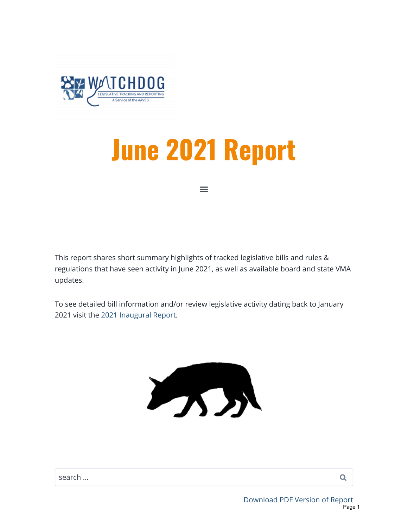<span id="page-0-0"></span>

# June 2021 Report

 $\equiv$ 

This report shares short summary highlights of tracked legislative bills and rules & regulations that have seen activity in June 2021, as well as available board and state VMA updates.

To see detailed bill information and/or review legislative activity dating back to January 2021 visit the [2021 Inaugural Report](https://aavsbmemberservices.org/special-report/).



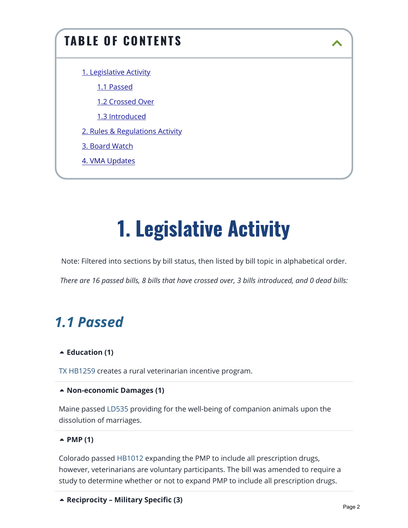## TABLE OF CONTENTS [1. Legislative Activity](#page-1-0) [1.1 Passed](#page-1-1) [1.2 Crossed Over](#page-3-0) [1.3 Introduced](#page-4-0) [2. Rules & Regulations Activity](#page-4-1) [3. Board Watch](#page-8-0) 4. [VMA Updates](#page-10-0)

## 1. Legislative Activity

<span id="page-1-0"></span>Note: Filtered into sections by bill status, then listed by bill topic in alphabetical order.

*There are 16 passed bills, 8 bills that have crossed over, 3 bills introduced, and 0 dead bills:*

### <span id="page-1-1"></span>*1.1 Passed*

#### **[Education \(1\)](https://aavsbmemberservices.org/june-2021-report/)**

[TX HB1259](https://www.billtrack50.com/billdetail/1279306/25693) creates a rural veterinarian incentive program.

#### **[Non-economic Damages \(1\)](https://aavsbmemberservices.org/june-2021-report/)**

Maine passed [LD535](https://www.billtrack50.com/billdetail/1324066/25693) providing for the well-being of companion animals upon the dissolution of marriages.

#### **[PMP \(1\)](https://aavsbmemberservices.org/june-2021-report/)**

Colorado passed [HB1012](https://www.billtrack50.com/billdetail/1317211/25693) expanding the PMP to include all prescription drugs, however, veterinarians are voluntary participants. The bill was amended to require a study to determine whether or not to expand PMP to include all prescription drugs.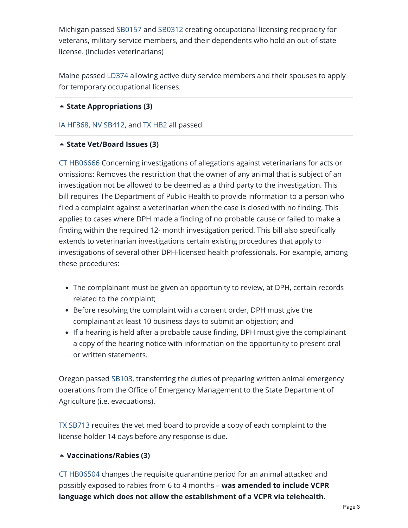Michigan passe[d SB0157](https://www.billtrack50.com/billdetail/1352316/25693) and [SB0312](https://www.billtrack50.com/billdetail/1352316/25693) creating occupational licensing reciprocity for veterans, military service members, and their dependents who hold an out-of-state license. (Includes veterinarians)

Maine passed [LD374](https://www.billtrack50.com/billdetail/1305024/25693) allowing active duty service members and their spouses to apply for temporary occupational licenses.

#### **[State Appropriations \(3\)](https://aavsbmemberservices.org/june-2021-report/)**

#### [IA HF868](https://www.billtrack50.com/billdetail/1358060/25693), [NV SB412](https://www.billtrack50.com/billdetail/1365032/25693), and [TX HB2](https://www.billtrack50.com/billdetail/1332054/25693) all passed

#### **[State Vet/Board Issues \(3\)](https://aavsbmemberservices.org/june-2021-report/)**

[CT HB06666](https://www.billtrack50.com/billdetail/1351373/25693) Concerning investigations of allegations against veterinarians for acts or omissions: Removes the restriction that the owner of any animal that is subject of an investigation not be allowed to be deemed as a third party to the investigation. This bill requires The Department of Public Health to provide information to a person who filed a complaint against a veterinarian when the case is closed with no finding. This applies to cases where DPH made a finding of no probable cause or failed to make a finding within the required 12- month investigation period. This bill also specifically extends to veterinarian investigations certain existing procedures that apply to investigations of several other DPH-licensed health professionals. For example, among these procedures:

- The complainant must be given an opportunity to review, at DPH, certain records related to the complaint;
- Before resolving the complaint with a consent order, DPH must give the complainant at least 10 business days to submit an objection; and
- If a hearing is held after a probable cause finding, DPH must give the complainant a copy of the hearing notice with information on the opportunity to present oral or written statements.

Oregon passed [SB103](https://www.billtrack50.com/billdetail/1265838/25693), transferring the duties of preparing written animal emergency operations from the Office of Emergency Management to the State Department of Agriculture (i.e. evacuations).

[TX SB713](https://www.billtrack50.com/billdetail/1341965/25693) requires the vet med board to provide a copy of each complaint to the license holder 14 days before any response is due.

#### **[Vaccinations/Rabies \(3\)](https://aavsbmemberservices.org/june-2021-report/)**

[CT HB06504](https://www.billtrack50.com/billdetail/1326761/25693) changes the requisite quarantine period for an animal attacked and possibly exposed to rabies from 6 to 4 months – **was amended to include VCPR language which does not allow the establishment of a VCPR via telehealth.**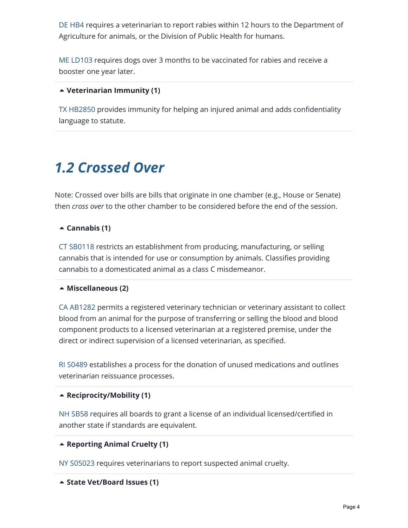[DE HB4](https://www.billtrack50.com/billdetail/1341086/25693) requires a veterinarian to report rabies within 12 hours to the Department of Agriculture for animals, or the Division of Public Health for humans.

[ME LD103](https://www.billtrack50.com/billdetail/1291699/25693) requires dogs over 3 months to be vaccinated for rabies and receive a booster one year later.

#### **[Veterinarian Immunity \(1\)](https://aavsbmemberservices.org/june-2021-report/)**

[TX HB2850](https://www.billtrack50.com/billdetail/1337819/25693) provides immunity for helping an injured animal and adds confidentiality language to statute.

### <span id="page-3-0"></span>*1.2 Crossed Over*

Note: Crossed over bills are bills that originate in one chamber (e.g., House or Senate) then *cross over* to the other chamber to be considered before the end of the session.

#### **[Cannabis \(1\)](https://aavsbmemberservices.org/june-2021-report/)**

[CT SB0118](https://www.billtrack50.com/billdetail/1379333/25693) restricts an establishment from producing, manufacturing, or selling cannabis that is intended for use or consumption by animals. Classifies providing cannabis to a domesticated animal as a class C misdemeanor.

#### **[Miscellaneous \(2\)](https://aavsbmemberservices.org/june-2021-report/)**

[CA AB1282](https://www.billtrack50.com/BillDetail/1323492) permits a registered veterinary technician or veterinary assistant to collect blood from an animal for the purpose of transferring or selling the blood and blood component products to a licensed veterinarian at a registered premise, under the direct or indirect supervision of a licensed veterinarian, as specified.

[RI S0489](https://www.billtrack50.com/billdetail/1338448/25693) establishes a process for the donation of unused medications and outlines veterinarian reissuance processes.

#### **[Reciprocity/Mobility \(1\)](https://aavsbmemberservices.org/june-2021-report/)**

[NH SB58](https://www.billtrack50.com/billdetail/1276232/25693) requires all boards to grant a license of an individual licensed/certified in another state if standards are equivalent.

#### **[Reporting Animal Cruelty \(1\)](https://aavsbmemberservices.org/june-2021-report/)**

[NY S05023](https://www.billtrack50.com/billdetail/1324824/25693) requires veterinarians to report suspected animal cruelty.

```

State Vet/Board Issues (1)
```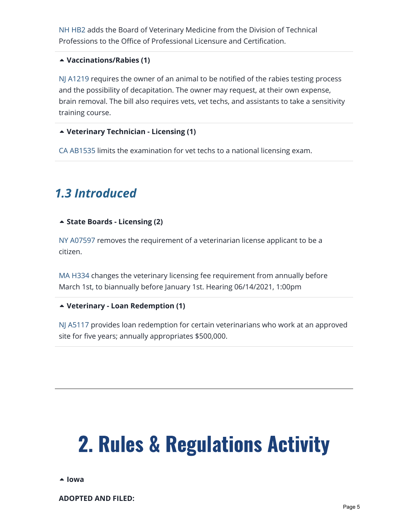[NH HB2](https://www.billtrack50.com/billdetail/1335168/25693) adds the Board of Veterinary Medicine from the Division of Technical Professions to the Office of Professional Licensure and Certification.

#### **[Vaccinations/Rabies \(1\)](https://aavsbmemberservices.org/june-2021-report/)**

[NJ A1219](https://www.billtrack50.com/billdetail/1169285/25693) requires the owner of an animal to be notified of the rabies testing process and the possibility of decapitation. The owner may request, at their own expense, brain removal. The bill also requires vets, vet techs, and assistants to take a sensitivity training course.

#### **[Veterinary Technician - Licensing \(1\)](https://aavsbmemberservices.org/june-2021-report/)**

[CA AB1535](https://www.billtrack50.com/billdetail/1323698/25693) limits the examination for vet techs to a national licensing exam.

### <span id="page-4-0"></span>*1.3 Introduced*

#### **[State Boards - Licensing \(2\)](https://aavsbmemberservices.org/june-2021-report/)**

[NY A07597](https://www.billtrack50.com/billdetail/1374476/25693) removes the requirement of a veterinarian license applicant to be a citizen.

[MA H334](https://www.billtrack50.com/billdetail/1358413/25693) changes the veterinary licensing fee requirement from annually before March 1st, to biannually before January 1st. Hearing 06/14/2021, 1:00pm

#### **[Veterinary - Loan Redemption \(1\)](https://aavsbmemberservices.org/june-2021-report/)**

[NJ A5117](https://www.billtrack50.com/billdetail/1251581/25693) provides loan redemption for certain veterinarians who work at an approved site for five years; annually appropriates \$500,000.

## <span id="page-4-1"></span>2. Rules & Regulations Activity

**[Iowa](https://aavsbmemberservices.org/june-2021-report/)**

**ADOPTED AND FILED:**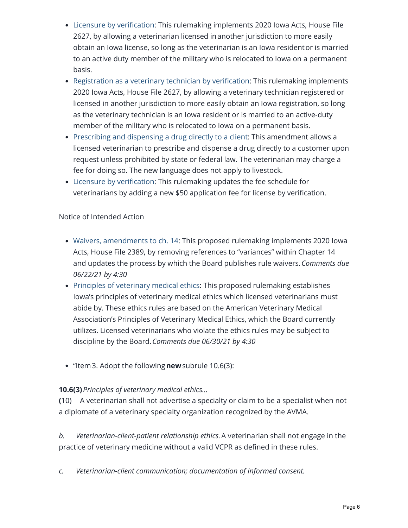- [Licensure by verification](https://www.legis.iowa.gov/docs/aco/arc/5638C.rtf): This rulemaking implements 2020 Iowa Acts, House File 2627, by allowing a veterinarian licensed in another jurisdiction to more easily obtain an Iowa license, so long as the veterinarian is an Iowa resident or is married to an active duty member of the military who is relocated to Iowa on a permanent basis.
- [Registration as a veterinary technician by verification:](https://www.legis.iowa.gov/docs/aco/arc/5639C.rtf) This rulemaking implements 2020 Iowa Acts, House File 2627, by allowing a veterinary technician registered or licensed in another jurisdiction to more easily obtain an Iowa registration, so long as the veterinary technician is an Iowa resident or is married to an active-duty member of the military who is relocated to Iowa on a permanent basis.
- [Prescribing and dispensing a drug directly to a client](https://www.legis.iowa.gov/docs/aco/arc/5640C.rtf): This amendment allows a licensed veterinarian to prescribe and dispense a drug directly to a customer upon request unless prohibited by state or federal law. The veterinarian may charge a fee for doing so. The new language does not apply to livestock.
- [Licensure by verification](https://www.legis.iowa.gov/docs/aco/arc/5641C.rtf): This rulemaking updates the fee schedule for veterinarians by adding a new \$50 application fee for license by verification.

#### Notice of Intended Action

- [Waivers, amendments to ch. 14](https://www.legis.iowa.gov/docs/aco/arc/5656C.rtf): This proposed rulemaking implements 2020 Iowa Acts, House File 2389, by removing references to "variances" within Chapter 14 and updates the process by which the Board publishes rule waivers. *Comments due 06/22/21 by 4:30*
- [Principles of veterinary medical ethics](https://www.legis.iowa.gov/docs/aco/arc/5669C.rtf): This proposed rulemaking establishes Iowa's principles of veterinary medical ethics which licensed veterinarians must abide by. These ethics rules are based on the American Veterinary Medical Association's Principles of Veterinary Medical Ethics, which the Board currently utilizes. Licensed veterinarians who violate the ethics rules may be subject to discipline by the Board.*Comments due 06/30/21 by 4:30*
- "Item3. Adopt the following**new**subrule 10.6(3):

#### **10.6(3)***Principles of veterinary medical ethics…*

**(**10) A veterinarian shall not advertise a specialty or claim to be a specialist when not a diplomate of a veterinary specialty organization recognized by the AVMA.

*b. Veterinarian-client-patient relationship ethics.*A veterinarian shall not engage in the practice of veterinary medicine without a valid VCPR as defined in these rules.

*c. Veterinarian-client communication; documentation of informed consent.*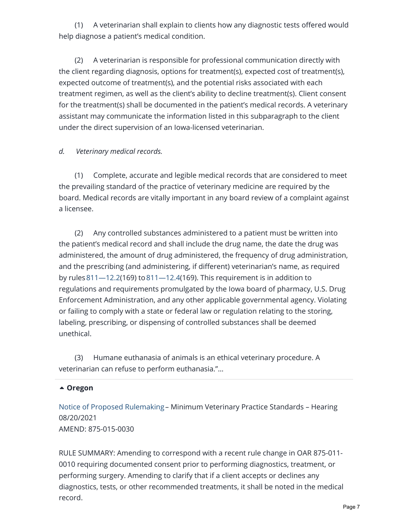(1) A veterinarian shall explain to clients how any diagnostic tests offered would help diagnose a patient's medical condition.

 (2) A veterinarian is responsible for professional communication directly with the client regarding diagnosis, options for treatment(s), expected cost of treatment(s), expected outcome of treatment(s), and the potential risks associated with each treatment regimen, as well as the client's ability to decline treatment(s). Client consent for the treatment(s) shall be documented in the patient's medical records. A veterinary assistant may communicate the information listed in this subparagraph to the client under the direct supervision of an Iowa-licensed veterinarian.

#### *d. Veterinary medical records.*

 (1) Complete, accurate and legible medical records that are considered to meet the prevailing standard of the practice of veterinary medicine are required by the board. Medical records are vitally important in any board review of a complaint against a licensee.

 (2) Any controlled substances administered to a patient must be written into the patient's medical record and shall include the drug name, the date the drug was administered, the amount of drug administered, the frequency of drug administration, and the prescribing (and administering, if different) veterinarian's name, as required by rules  $811 - 12.2(169)$  to  $811 - 12.4(169)$ . This requirement is in addition to regulations and requirements promulgated by the Iowa board of pharmacy, U.S. Drug Enforcement Administration, and any other applicable governmental agency. Violating or failing to comply with a state or federal law or regulation relating to the storing, labeling, prescribing, or dispensing of controlled substances shall be deemed unethical.

 (3) Humane euthanasia of animals is an ethical veterinary procedure. A veterinarian can refuse to perform euthanasia."…

#### **[Oregon](https://aavsbmemberservices.org/june-2021-report/)**

[Notice of Proposed Rulemaking](https://secure.sos.state.or.us/oard/viewRedlinePDF.action?filingRsn=47433) – Minimum Veterinary Practice Standards – Hearing 08/20/2021 AMEND: 875-015-0030

RULE SUMMARY: Amending to correspond with a recent rule change in OAR 875-011- 0010 requiring documented consent prior to performing diagnostics, treatment, or performing surgery. Amending to clarify that if a client accepts or declines any diagnostics, tests, or other recommended treatments, it shall be noted in the medical record.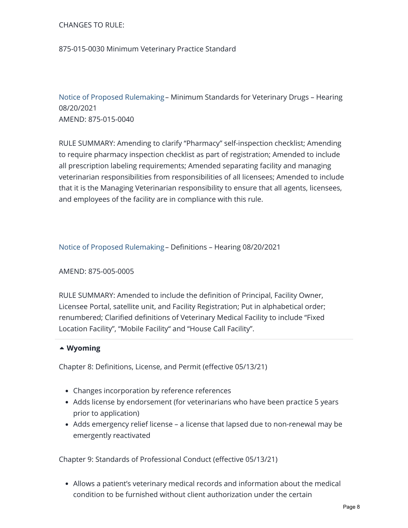#### CHANGES TO RULE:

#### 875-015-0030 Minimum Veterinary Practice Standard

[Notice of Proposed Rulemaking](https://secure.sos.state.or.us/oard/viewRedlinePDF.action?filingRsn=47434) – Minimum Standards for Veterinary Drugs – Hearing 08/20/2021 AMEND: 875-015-0040

RULE SUMMARY: Amending to clarify "Pharmacy" self-inspection checklist; Amending to require pharmacy inspection checklist as part of registration; Amended to include all prescription labeling requirements; Amended separating facility and managing veterinarian responsibilities from responsibilities of all licensees; Amended to include that it is the Managing Veterinarian responsibility to ensure that all agents, licensees, and employees of the facility are in compliance with this rule.

[Notice of Proposed Rulemaking](https://secure.sos.state.or.us/oard/viewRedlinePDF.action?filingRsn=47435) – Definitions – Hearing 08/20/2021

#### AMEND: 875-005-0005

RULE SUMMARY: Amended to include the definition of Principal, Facility Owner, Licensee Portal, satellite unit, and Facility Registration; Put in alphabetical order; renumbered; Clarified definitions of Veterinary Medical Facility to include "Fixed Location Facility", "Mobile Facility" and "House Call Facility".

#### **[Wyoming](https://aavsbmemberservices.org/june-2021-report/)**

Chapter 8: Definitions, License, and Permit (effective 05/13/21)

- Changes incorporation by reference references
- Adds license by endorsement (for veterinarians who have been practice 5 years prior to application)
- Adds emergency relief license a license that lapsed due to non-renewal may be emergently reactivated

Chapter 9: Standards of Professional Conduct (effective 05/13/21)

Allows a patient's veterinary medical records and information about the medical condition to be furnished without client authorization under the certain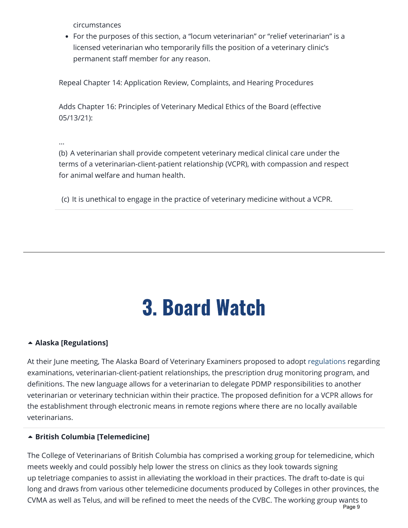circumstances

• For the purposes of this section, a "locum veterinarian" or "relief veterinarian" is a licensed veterinarian who temporarily fills the position of a veterinary clinic's permanent staff member for any reason.

Repeal Chapter 14: Application Review, Complaints, and Hearing Procedures

Adds Chapter 16: Principles of Veterinary Medical Ethics of the Board (effective 05/13/21):

…

(b) A veterinarian shall provide competent veterinary medical clinical care under the terms of a veterinarian-client-patient relationship (VCPR), with compassion and respect for animal welfare and human health.

(c) It is unethical to engage in the practice of veterinary medicine without a VCPR.

## 3. Board Watch

#### <span id="page-8-0"></span>**[Alaska \[Regulations\]](https://aavsbmemberservices.org/june-2021-report/)**

At their June meeting, The Alaska Board of Veterinary Examiners proposed to adopt [regulations](https://www.commerce.alaska.gov/web/portals/5/pub/VET_Regs_0421.pdf) regarding examinations, veterinarian-client-patient relationships, the prescription drug monitoring program, and definitions. The new language allows for a veterinarian to delegate PDMP responsibilities to another veterinarian or veterinary technician within their practice. The proposed definition for a VCPR allows for the establishment through electronic means in remote regions where there are no locally available veterinarians.

#### **[British Columbia \[Telemedicine\]](https://aavsbmemberservices.org/june-2021-report/)**

The College of Veterinarians of British Columbia has comprised a working group for telemedicine, which meets weekly and could possibly help lower the stress on clinics as they look towards signing up teletriage companies to assist in alleviating the workload in their practices. The draft to-date is qui long and draws from various other telemedicine documents produced by Colleges in other provinces, the CVMA as well as Telus, and will be refined to meet the needs of the CVBC. The working group wants to Page 9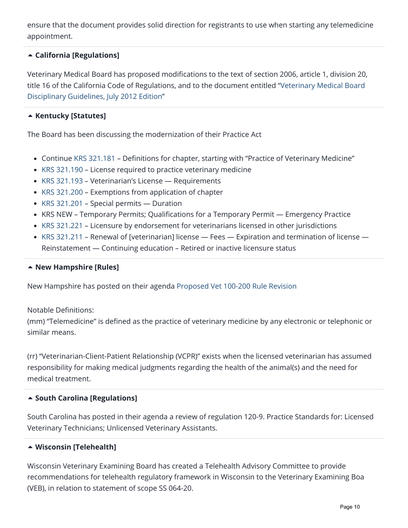ensure that the document provides solid direction for registrants to use when starting any telemedicine appointment.

#### **[California \[Regulations\]](https://aavsbmemberservices.org/june-2021-report/)**

Veterinary Medical Board has proposed modifications to the text of section 2006, article 1, division 20, [title 16 of the California Code of Regulations, and to the document entitled "Veterinary Medical Board](https://www.vmb.ca.gov/laws_regs/disciplinary_guidelines_docmod.pdf) Disciplinary Guidelines, July 2012 Edition"

#### **[Kentucky \[Statutes\]](https://aavsbmemberservices.org/june-2021-report/)**

The Board has been discussing the modernization of their Practice Act

- Continue [KRS 321.181](https://apps.legislature.ky.gov/law/statutes/statute.aspx?id=45321) Definitions for chapter, starting with "Practice of Veterinary Medicine"
- [KRS 321.190](https://apps.legislature.ky.gov/law/statutes/statute.aspx?id=45323) License required to practice veterinary medicine
- [KRS 321.193](https://apps.legislature.ky.gov/law/statutes/statute.aspx?id=45324) Veterinarian's License Requirements
- [KRS 321.200](https://apps.legislature.ky.gov/law/statutes/statute.aspx?id=45325) Exemptions from application of chapter
- [KRS 321.201](https://apps.legislature.ky.gov/law/statutes/statute.aspx?id=45326) Special permits Duration
- KRS NEW Temporary Permits; Qualifications for a Temporary Permit Emergency Practice
- [KRS 321.221](https://apps.legislature.ky.gov/law/statutes/statute.aspx?id=31387) Licensure by endorsement for veterinarians licensed in other jurisdictions
- [KRS 321.211](https://apps.legislature.ky.gov/law/statutes/statute.aspx?id=45328) Renewal of [veterinarian] license Fees Expiration and termination of license Reinstatement — Continuing education – Retired or inactive licensure status

#### **[New Hampshire \[Rules\]](https://aavsbmemberservices.org/june-2021-report/)**

New Hampshire has posted on their agenda [Proposed Vet 100-200 Rule Revision](https://www.oplc.nh.gov/sites/g/files/ehbemt441/files/inline-documents/sonh/vet-100-200.pdf)

#### Notable Definitions:

(mm) "Telemedicine" is defined as the practice of veterinary medicine by any electronic or telephonic or similar means.

(rr) "Veterinarian-Client-Patient Relationship (VCPR)" exists when the licensed veterinarian has assumed responsibility for making medical judgments regarding the health of the animal(s) and the need for medical treatment.

#### **[South Carolina \[Regulations\]](https://aavsbmemberservices.org/june-2021-report/)**

South Carolina has posted in their agenda a review of regulation 120-9. Practice Standards for: Licensed Veterinary Technicians; Unlicensed Veterinary Assistants.

#### **[Wisconsin \[Telehealth\]](https://aavsbmemberservices.org/june-2021-report/)**

Wisconsin Veterinary Examining Board has created a Telehealth Advisory Committee to provide recommendations for telehealth regulatory framework in Wisconsin to the Veterinary Examining Boa (VEB), in relation to statement of scope SS 064-20.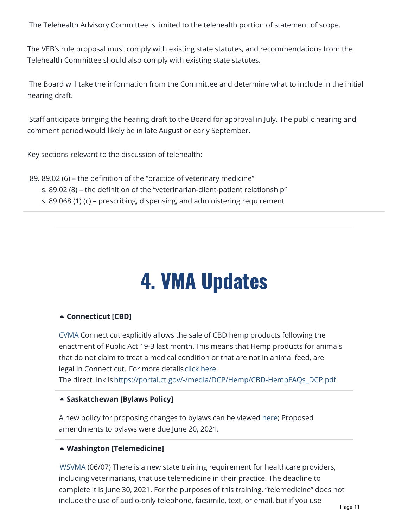The Telehealth Advisory Committee is limited to the telehealth portion of statement of scope.

The VEB's rule proposal must comply with existing state statutes, and recommendations from the Telehealth Committee should also comply with existing state statutes.

The Board will take the information from the Committee and determine what to include in the initial hearing draft.

Staff anticipate bringing the hearing draft to the Board for approval in July. The public hearing and comment period would likely be in late August or early September.

Key sections relevant to the discussion of telehealth:

89. 89.02 (6) – the definition of the "practice of veterinary medicine" s. 89.02 (8) – the definition of the "veterinarian-client-patient relationship" s. 89.068 (1) (c) – prescribing, dispensing, and administering requirement

## 4. VMA Updates

#### <span id="page-10-0"></span>**[Connecticut \[CBD\]](https://aavsbmemberservices.org/june-2021-report/)**

[CVMA](https://ctvet.org/about/news-events) Connecticut explicitly allows the sale of CBD hemp products following the enactment of Public Act 19-3 last month. This means that Hemp products for animals that do not claim to treat a medical condition or that are not in animal feed, are legal in Connecticut. For more details [click here.](http://r20.rs6.net/tn.jsp?f=001LyZUHX_nTRhveFCom11nwRKILfKyjckG1QQYwvkQfhQmFXWL-cbqSfjr9JWSM4gfZfWMoWQO-RlDI03RrEc3SCfZR9IbPDwgsst0ShYdiaB8O2B1zUnGQu6VLd8bCwnZdgGOI6NWOt0uH9g82hx_uqzTuLT-mmShSBCEDTfz6tj0TYwsedBPgq9Gaufdz8GGiM69Okvb_TKglW_VWxg1tLisi-Nv7QICZ-TrI8N4YF8=&c=Dr5MNxvilH0sKG5U64NtPj_NImNNPjoAOWxrsZ4fk6ib3A55df3gjA==&ch=x6KYXR_G6UtcJuwcGsOBA8RpgMpMAFS_q8YnHp84GXEwP19LJUHERg==)

The direct link is[https://portal.ct.gov/-/media/DCP/Hemp/CBD-HempFAQs\\_DCP.pdf](http://r20.rs6.net/tn.jsp?f=001LyZUHX_nTRhveFCom11nwRKILfKyjckG1QQYwvkQfhQmFXWL-cbqSfjr9JWSM4gfZfWMoWQO-RlDI03RrEc3SCfZR9IbPDwgsst0ShYdiaB8O2B1zUnGQu6VLd8bCwnZdgGOI6NWOt0uH9g82hx_uqzTuLT-mmShSBCEDTfz6tj0TYwsedBPgq9Gaufdz8GGiM69Okvb_TKglW_VWxg1tLisi-Nv7QICZ-TrI8N4YF8=&c=Dr5MNxvilH0sKG5U64NtPj_NImNNPjoAOWxrsZ4fk6ib3A55df3gjA==&ch=x6KYXR_G6UtcJuwcGsOBA8RpgMpMAFS_q8YnHp84GXEwP19LJUHERg==)

#### **[Saskatchewan \[Bylaws Policy\]](https://aavsbmemberservices.org/june-2021-report/)**

A new policy for proposing changes to bylaws can be viewed [here](https://mcusercontent.com/400f9e7e8e46522ad65005647/files/6e3a1d7a-8f29-4b79-a9e7-4ee372e1c171/Bylaw_Notice_for_E_News.01.pdf); Proposed amendments to bylaws were due June 20, 2021.

#### **[Washington \[Telemedicine\]](https://aavsbmemberservices.org/june-2021-report/)**

[WSVMA](https://wsvma.org/newswire/) (06/07) There is a new state training requirement for healthcare providers, including veterinarians, that use telemedicine in their practice. The deadline to complete it is June 30, 2021. For the purposes of this training, "telemedicine" does not include the use of audio-only telephone, facsimile, text, or email, but if you use